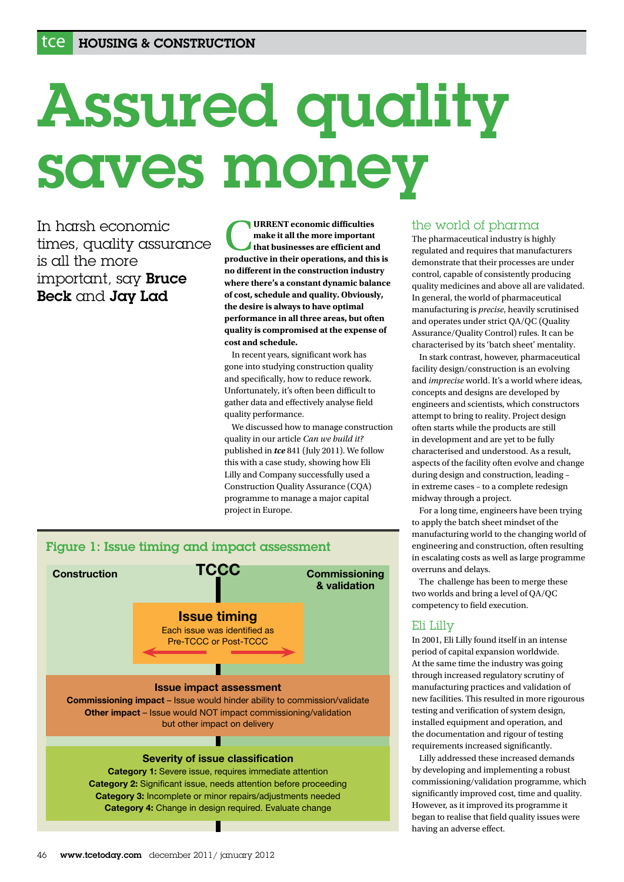# Assured quality saves money

In harsh economic times, quality assurance is all the more important, say Bruce Beck and Jay Lad

**EXTENT economic difficulties**<br> **that businesses are efficient and<br>
productive in their operations and this make it all the more important productive in their operations, and this is no different in the construction industry where there's a constant dynamic balance of cost, schedule and quality. Obviously, the desire is always to have optimal performance in all three areas, but often quality is compromised at the expense of cost and schedule.**

 In recent years, significant work has gone into studying construction quality and specifically, how to reduce rework. Unfortunately, it's often been difficult to gather data and effectively analyse field quality performance.

 We discussed how to manage construction quality in our article *Can we build it?* published in *tce* 841 (July 2011). We follow this with a case study, showing how Eli Lilly and Company successfully used a Construction Quality Assurance (CQA) programme to manage a major capital project in Europe.



# the world of pharma

The pharmaceutical industry is highly regulated and requires that manufacturers demonstrate that their processes are under control, capable of consistently producing quality medicines and above all are validated. In general, the world of pharmaceutical manufacturing is *precise*, heavily scrutinised and operates under strict QA/QC (Quality Assurance/Quality Control) rules. It can be characterised by its 'batch sheet' mentality.

 In stark contrast, however, pharmaceutical facility design/construction is an evolving and *imprecise* world. It's a world where ideas, concepts and designs are developed by engineers and scientists, which constructors attempt to bring to reality. Project design often starts while the products are still in development and are yet to be fully characterised and understood. As a result, aspects of the facility often evolve and change during design and construction, leading – in extreme cases – to a complete redesign midway through a project.

 For a long time, engineers have been trying to apply the batch sheet mindset of the manufacturing world to the changing world of engineering and construction, often resulting in escalating costs as well as large programme overruns and delays.

 The challenge has been to merge these two worlds and bring a level of QA/QC competency to field execution.

# Eli Lilly

In 2001, Eli Lilly found itself in an intense period of capital expansion worldwide. At the same time the industry was going through increased regulatory scrutiny of manufacturing practices and validation of new facilities. This resulted in more rigourous testing and verification of system design, installed equipment and operation, and the documentation and rigour of testing requirements increased significantly.

 Lilly addressed these increased demands by developing and implementing a robust commissioning/validation programme, which significantly improved cost, time and quality. However, as it improved its programme it began to realise that field quality issues were having an adverse effect.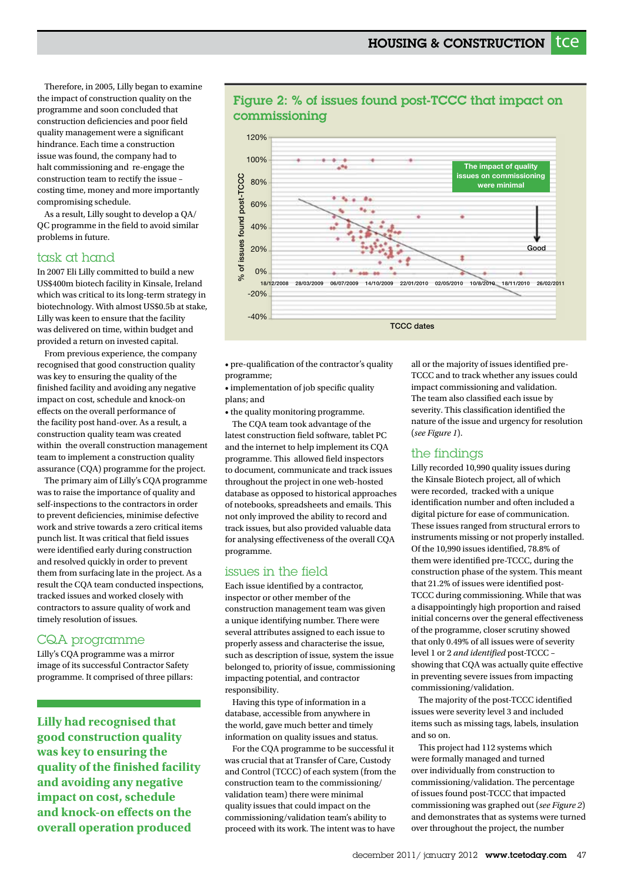Therefore, in 2005, Lilly began to examine the impact of construction quality on the programme and soon concluded that construction deficiencies and poor field quality management were a significant hindrance. Each time a construction issue was found, the company had to halt commissioning and re-engage the construction team to rectify the issue – costing time, money and more importantly compromising schedule.

 As a result, Lilly sought to develop a QA/ QC programme in the field to avoid similar problems in future.

### task at hand

In 2007 Eli Lilly committed to build a new US\$400m biotech facility in Kinsale, Ireland which was critical to its long-term strategy in biotechnology. With almost US\$0.5b at stake, Lilly was keen to ensure that the facility was delivered on time, within budget and provided a return on invested capital.

 From previous experience, the company recognised that good construction quality was key to ensuring the quality of the finished facility and avoiding any negative impact on cost, schedule and knock-on effects on the overall performance of the facility post hand-over. As a result, a construction quality team was created within the overall construction management team to implement a construction quality assurance (CQA) programme for the project.

 The primary aim of Lilly's CQA programme was to raise the importance of quality and self-inspections to the contractors in order to prevent deficiencies, minimise defective work and strive towards a zero critical items punch list. It was critical that field issues were identified early during construction and resolved quickly in order to prevent them from surfacing late in the project. As a result the CQA team conducted inspections, tracked issues and worked closely with contractors to assure quality of work and timely resolution of issues.

# CQA programme

Lilly's CQA programme was a mirror image of its successful Contractor Safety programme. It comprised of three pillars:

**Lilly had recognised that good construction quality was key to ensuring the quality of the finished facility and avoiding any negative impact on cost, schedule and knock-on effects on the overall operation produced**



# Figure 2: % of issues found post-TCCC that impact on commissioning

• pre-qualification of the contractor's quality programme;

• implementation of job specific quality plans; and

• the quality monitoring programme.

 The CQA team took advantage of the latest construction field software, tablet PC and the internet to help implement its CQA programme. This allowed field inspectors to document, communicate and track issues throughout the project in one web-hosted database as opposed to historical approaches of notebooks, spreadsheets and emails. This not only improved the ability to record and track issues, but also provided valuable data for analysing effectiveness of the overall CQA programme.

# issues in the field

Each issue identified by a contractor, inspector or other member of the construction management team was given a unique identifying number. There were several attributes assigned to each issue to properly assess and characterise the issue, such as description of issue, system the issue belonged to, priority of issue, commissioning impacting potential, and contractor responsibility.

 Having this type of information in a database, accessible from anywhere in the world, gave much better and timely information on quality issues and status.

 For the CQA programme to be successful it was crucial that at Transfer of Care, Custody and Control (TCCC) of each system (from the construction team to the commissioning/ validation team) there were minimal quality issues that could impact on the commissioning/validation team's ability to proceed with its work. The intent was to have

all or the majority of issues identified pre-TCCC and to track whether any issues could impact commissioning and validation. The team also classified each issue by severity. This classification identified the nature of the issue and urgency for resolution (*see Figure 1*).

# the findings

Lilly recorded 10,990 quality issues during the Kinsale Biotech project, all of which were recorded, tracked with a unique identification number and often included a digital picture for ease of communication. These issues ranged from structural errors to instruments missing or not properly installed. Of the 10,990 issues identified, 78.8% of them were identified pre-TCCC, during the construction phase of the system. This meant that 21.2% of issues were identified post-TCCC during commissioning. While that was a disappointingly high proportion and raised initial concerns over the general effectiveness of the programme, closer scrutiny showed that only 0.49% of all issues were of severity level 1 or 2 *and identified* post-TCCC – showing that CQA was actually quite effective in preventing severe issues from impacting commissioning/validation.

 The majority of the post-TCCC identified issues were severity level 3 and included items such as missing tags, labels, insulation and so on.

 This project had 112 systems which were formally managed and turned over individually from construction to commissioning/validation. The percentage of issues found post-TCCC that impacted commissioning was graphed out (*see Figure 2*) and demonstrates that as systems were turned over throughout the project, the number